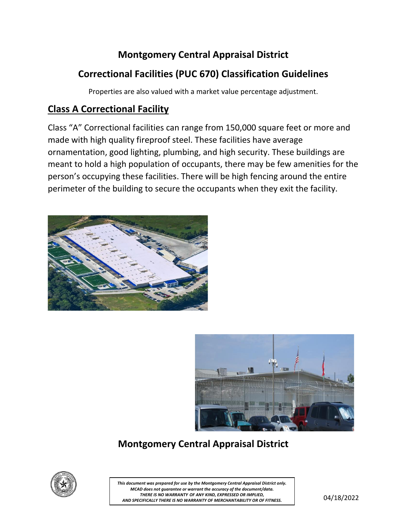# **Montgomery Central Appraisal District**

## **Correctional Facilities (PUC 670) Classification Guidelines**

Properties are also valued with a market value percentage adjustment.

#### **Class A Correctional Facility**

Class "A" Correctional facilities can range from 150,000 square feet or more and made with high quality fireproof steel. These facilities have average ornamentation, good lighting, plumbing, and high security. These buildings are meant to hold a high population of occupants, there may be few amenities for the person's occupying these facilities. There will be high fencing around the entire perimeter of the building to secure the occupants when they exit the facility.





# **Montgomery Central Appraisal District**



THERE IS NO WARRANTT OF ANT KIND, EXPRESSED OR IMPLIED,<br>AND SPECIFICALLY THERE IS NO WARRANTY OF MERCHANTABILITY OR OF FITNESS.  $04/18/2022$ *This document was prepared for use by the Montgomery Central Appraisal District only. MCAD does not guarantee or warrant the accuracy of the document/data. THERE IS NO WARRANTY OF ANY KIND, EXPRESSED OR IMPLIED,*